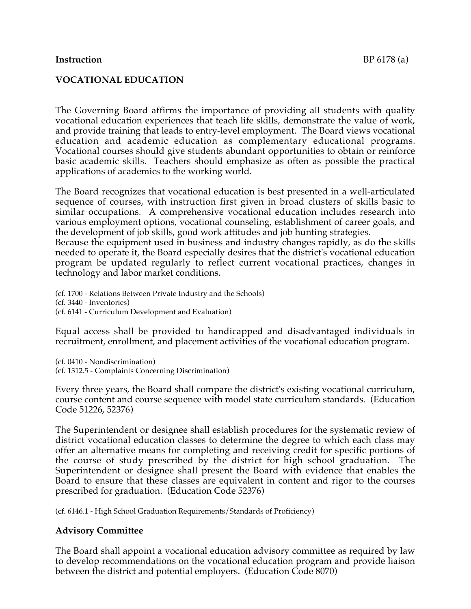#### **Instruction** BP 6178 (a)

The Governing Board affirms the importance of providing all students with quality vocational education experiences that teach life skills, demonstrate the value of work, and provide training that leads to entry-level employment. The Board views vocational education and academic education as complementary educational programs. Vocational courses should give students abundant opportunities to obtain or reinforce basic academic skills. Teachers should emphasize as often as possible the practical applications of academics to the working world.

The Board recognizes that vocational education is best presented in a well-articulated sequence of courses, with instruction first given in broad clusters of skills basic to similar occupations. A comprehensive vocational education includes research into various employment options, vocational counseling, establishment of career goals, and the development of job skills, good work attitudes and job hunting strategies.

Because the equipment used in business and industry changes rapidly, as do the skills needed to operate it, the Board especially desires that the district's vocational education program be updated regularly to reflect current vocational practices, changes in technology and labor market conditions.

(cf. 1700 - Relations Between Private Industry and the Schools) (cf. 3440 - Inventories) (cf. 6141 - Curriculum Development and Evaluation)

Equal access shall be provided to handicapped and disadvantaged individuals in recruitment, enrollment, and placement activities of the vocational education program.

(cf. 0410 - Nondiscrimination) (cf. 1312.5 - Complaints Concerning Discrimination)

Every three years, the Board shall compare the district's existing vocational curriculum, course content and course sequence with model state curriculum standards. (Education Code 51226, 52376)

The Superintendent or designee shall establish procedures for the systematic review of district vocational education classes to determine the degree to which each class may offer an alternative means for completing and receiving credit for specific portions of the course of study prescribed by the district for high school graduation. The Superintendent or designee shall present the Board with evidence that enables the Board to ensure that these classes are equivalent in content and rigor to the courses prescribed for graduation. (Education Code 52376)

(cf. 6146.1 - High School Graduation Requirements/Standards of Proficiency)

# **Advisory Committee**

The Board shall appoint a vocational education advisory committee as required by law to develop recommendations on the vocational education program and provide liaison between the district and potential employers. (Education Code 8070)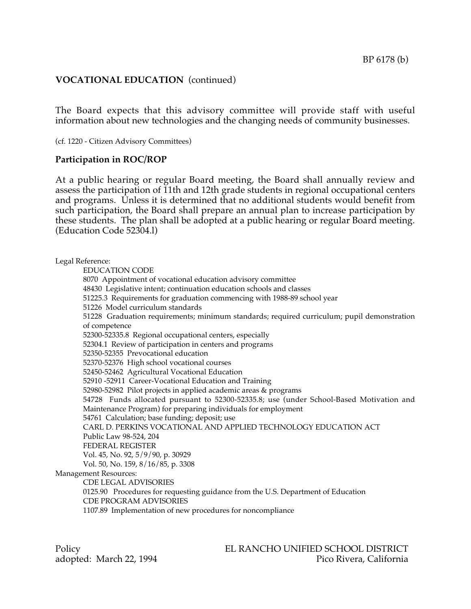# **VOCATIONAL EDUCATION** (continued)

The Board expects that this advisory committee will provide staff with useful information about new technologies and the changing needs of community businesses.

(cf. 1220 - Citizen Advisory Committees)

### **Participation in ROC/ROP**

At a public hearing or regular Board meeting, the Board shall annually review and assess the participation of 11th and 12th grade students in regional occupational centers and programs. Unless it is determined that no additional students would benefit from such participation, the Board shall prepare an annual plan to increase participation by these students. The plan shall be adopted at a public hearing or regular Board meeting. (Education Code 52304.l)

Legal Reference: EDUCATION CODE 8070 Appointment of vocational education advisory committee 48430 Legislative intent; continuation education schools and classes 51225.3 Requirements for graduation commencing with 1988-89 school year 51226 Model curriculum standards 51228 Graduation requirements; minimum standards; required curriculum; pupil demonstration of competence 52300-52335.8 Regional occupational centers, especially 52304.1 Review of participation in centers and programs 52350-52355 Prevocational education 52370-52376 High school vocational courses 52450-52462 Agricultural Vocational Education 52910 -52911 Career-Vocational Education and Training 52980-52982 Pilot projects in applied academic areas & programs 54728 Funds allocated pursuant to 52300-52335.8; use (under School-Based Motivation and Maintenance Program) for preparing individuals for employment 54761 Calculation; base funding; deposit; use CARL D. PERKINS VOCATIONAL AND APPLIED TECHNOLOGY EDUCATION ACT Public Law 98-524, 204 FEDERAL REGISTER Vol. 45, No. 92, 5/9/90, p. 30929 Vol. 50, No. 159, 8/16/85, p. 3308 Management Resources: CDE LEGAL ADVISORIES 0125.90 Procedures for requesting guidance from the U.S. Department of Education CDE PROGRAM ADVISORIES 1107.89 Implementation of new procedures for noncompliance

Policy EL RANCHO UNIFIED SCHOOL DISTRICT adopted: March 22, 1994 **Pico Rivera**, California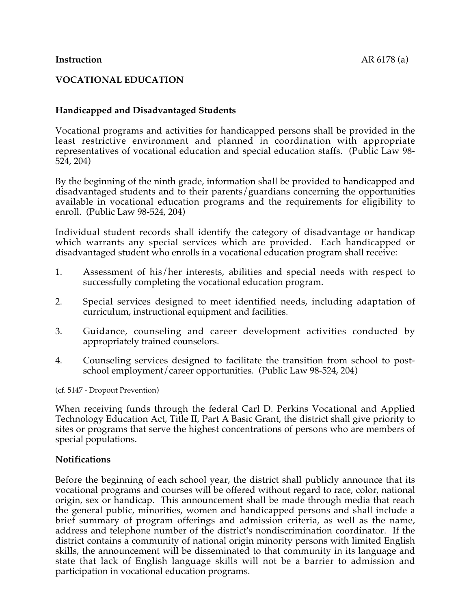# **VOCATIONAL EDUCATION**

# **Handicapped and Disadvantaged Students**

Vocational programs and activities for handicapped persons shall be provided in the least restrictive environment and planned in coordination with appropriate representatives of vocational education and special education staffs. (Public Law 98- 524, 204)

By the beginning of the ninth grade, information shall be provided to handicapped and disadvantaged students and to their parents/guardians concerning the opportunities available in vocational education programs and the requirements for eligibility to enroll. (Public Law 98-524, 204)

Individual student records shall identify the category of disadvantage or handicap which warrants any special services which are provided. Each handicapped or disadvantaged student who enrolls in a vocational education program shall receive:

- 1. Assessment of his/her interests, abilities and special needs with respect to successfully completing the vocational education program.
- 2. Special services designed to meet identified needs, including adaptation of curriculum, instructional equipment and facilities.
- 3. Guidance, counseling and career development activities conducted by appropriately trained counselors.
- 4. Counseling services designed to facilitate the transition from school to postschool employment/career opportunities. (Public Law 98-524, 204)

(cf. 5147 - Dropout Prevention)

When receiving funds through the federal Carl D. Perkins Vocational and Applied Technology Education Act, Title II, Part A Basic Grant, the district shall give priority to sites or programs that serve the highest concentrations of persons who are members of special populations.

### **Notifications**

Before the beginning of each school year, the district shall publicly announce that its vocational programs and courses will be offered without regard to race, color, national origin, sex or handicap. This announcement shall be made through media that reach the general public, minorities, women and handicapped persons and shall include a brief summary of program offerings and admission criteria, as well as the name, address and telephone number of the district's nondiscrimination coordinator. If the district contains a community of national origin minority persons with limited English skills, the announcement will be disseminated to that community in its language and state that lack of English language skills will not be a barrier to admission and participation in vocational education programs.